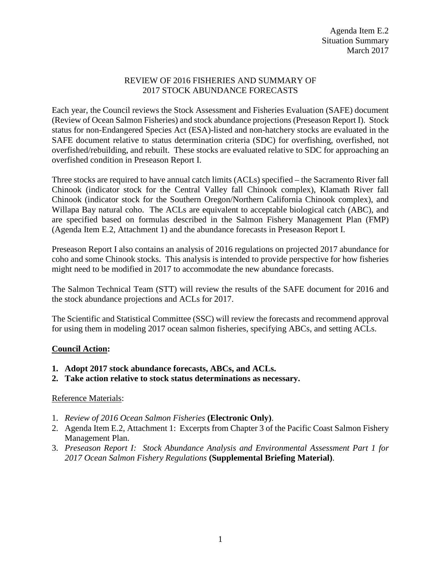## REVIEW OF 2016 FISHERIES AND SUMMARY OF 2017 STOCK ABUNDANCE FORECASTS

Each year, the Council reviews the Stock Assessment and Fisheries Evaluation (SAFE) document (Review of Ocean Salmon Fisheries) and stock abundance projections (Preseason Report I). Stock status for non-Endangered Species Act (ESA)-listed and non-hatchery stocks are evaluated in the SAFE document relative to status determination criteria (SDC) for overfishing, overfished, not overfished/rebuilding, and rebuilt. These stocks are evaluated relative to SDC for approaching an overfished condition in Preseason Report I.

Three stocks are required to have annual catch limits (ACLs) specified – the Sacramento River fall Chinook (indicator stock for the Central Valley fall Chinook complex), Klamath River fall Chinook (indicator stock for the Southern Oregon/Northern California Chinook complex), and Willapa Bay natural coho. The ACLs are equivalent to acceptable biological catch (ABC), and are specified based on formulas described in the Salmon Fishery Management Plan (FMP) (Agenda Item E.2, Attachment 1) and the abundance forecasts in Preseason Report I.

Preseason Report I also contains an analysis of 2016 regulations on projected 2017 abundance for coho and some Chinook stocks. This analysis is intended to provide perspective for how fisheries might need to be modified in 2017 to accommodate the new abundance forecasts.

The Salmon Technical Team (STT) will review the results of the SAFE document for 2016 and the stock abundance projections and ACLs for 2017.

The Scientific and Statistical Committee (SSC) will review the forecasts and recommend approval for using them in modeling 2017 ocean salmon fisheries, specifying ABCs, and setting ACLs.

## **Council Action:**

- **1. Adopt 2017 stock abundance forecasts, ABCs, and ACLs.**
- **2. Take action relative to stock status determinations as necessary.**

## Reference Materials:

- 1. *Review of 2016 Ocean Salmon Fisheries* **(Electronic Only)**.
- 2. Agenda Item E.2, Attachment 1: Excerpts from Chapter 3 of the Pacific Coast Salmon Fishery Management Plan.
- 3. *Preseason Report I: Stock Abundance Analysis and Environmental Assessment Part 1 for 2017 Ocean Salmon Fishery Regulations* **(Supplemental Briefing Material)**.